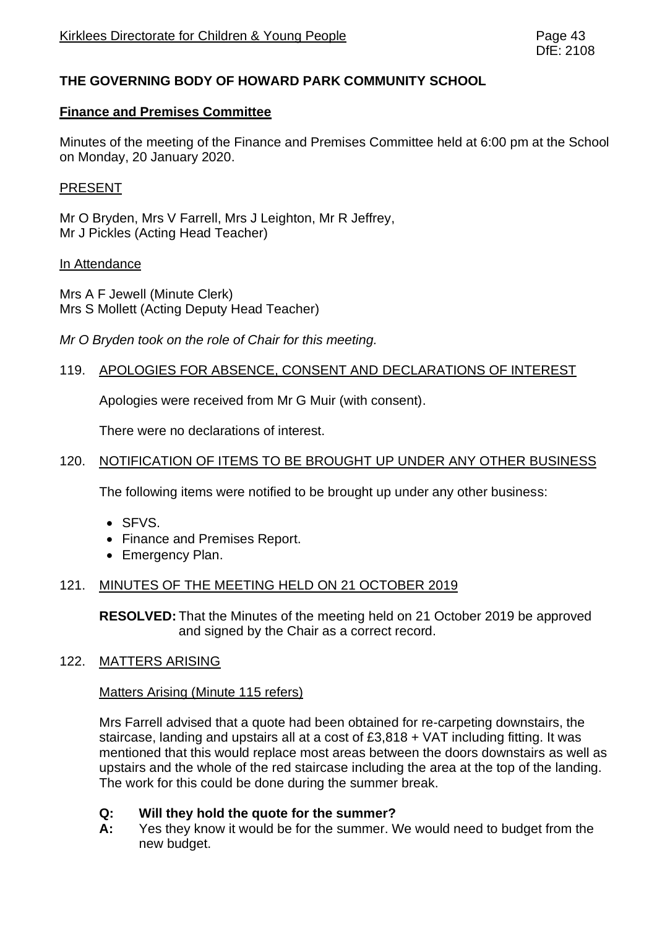# **THE GOVERNING BODY OF HOWARD PARK COMMUNITY SCHOOL**

## **Finance and Premises Committee**

Minutes of the meeting of the Finance and Premises Committee held at 6:00 pm at the School on Monday, 20 January 2020.

## PRESENT

Mr O Bryden, Mrs V Farrell, Mrs J Leighton, Mr R Jeffrey, Mr J Pickles (Acting Head Teacher)

#### In Attendance

Mrs A F Jewell (Minute Clerk) Mrs S Mollett (Acting Deputy Head Teacher)

*Mr O Bryden took on the role of Chair for this meeting.*

## 119. APOLOGIES FOR ABSENCE, CONSENT AND DECLARATIONS OF INTEREST

Apologies were received from Mr G Muir (with consent).

There were no declarations of interest.

## 120. NOTIFICATION OF ITEMS TO BE BROUGHT UP UNDER ANY OTHER BUSINESS

The following items were notified to be brought up under any other business:

- SFVS.
- Finance and Premises Report.
- Emergency Plan.

## 121. MINUTES OF THE MEETING HELD ON 21 OCTOBER 2019

**RESOLVED:** That the Minutes of the meeting held on 21 October 2019 be approved and signed by the Chair as a correct record.

## 122. MATTERS ARISING

#### Matters Arising (Minute 115 refers)

Mrs Farrell advised that a quote had been obtained for re-carpeting downstairs, the staircase, landing and upstairs all at a cost of £3,818 + VAT including fitting. It was mentioned that this would replace most areas between the doors downstairs as well as upstairs and the whole of the red staircase including the area at the top of the landing. The work for this could be done during the summer break.

#### **Q: Will they hold the quote for the summer?**

**A:** Yes they know it would be for the summer. We would need to budget from the new budget.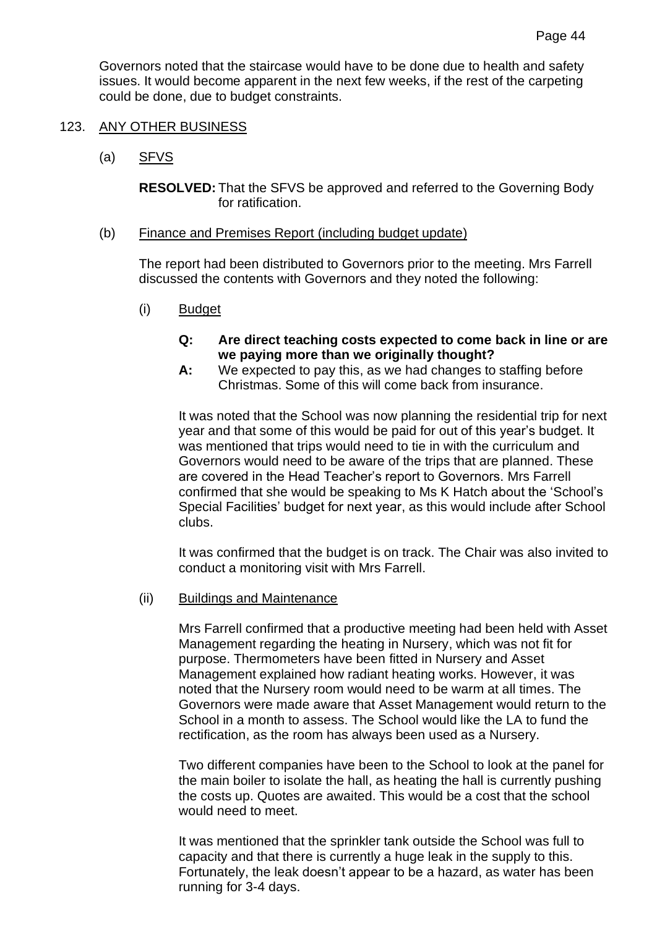Governors noted that the staircase would have to be done due to health and safety issues. It would become apparent in the next few weeks, if the rest of the carpeting could be done, due to budget constraints.

## 123. ANY OTHER BUSINESS

(a) SFVS

**RESOLVED:** That the SFVS be approved and referred to the Governing Body for ratification.

## (b) Finance and Premises Report (including budget update)

The report had been distributed to Governors prior to the meeting. Mrs Farrell discussed the contents with Governors and they noted the following:

- (i) Budget
	- **Q: Are direct teaching costs expected to come back in line or are we paying more than we originally thought?**
	- **A:** We expected to pay this, as we had changes to staffing before Christmas. Some of this will come back from insurance.

It was noted that the School was now planning the residential trip for next year and that some of this would be paid for out of this year's budget. It was mentioned that trips would need to tie in with the curriculum and Governors would need to be aware of the trips that are planned. These are covered in the Head Teacher's report to Governors. Mrs Farrell confirmed that she would be speaking to Ms K Hatch about the 'School's Special Facilities' budget for next year, as this would include after School clubs.

It was confirmed that the budget is on track. The Chair was also invited to conduct a monitoring visit with Mrs Farrell.

(ii) Buildings and Maintenance

Mrs Farrell confirmed that a productive meeting had been held with Asset Management regarding the heating in Nursery, which was not fit for purpose. Thermometers have been fitted in Nursery and Asset Management explained how radiant heating works. However, it was noted that the Nursery room would need to be warm at all times. The Governors were made aware that Asset Management would return to the School in a month to assess. The School would like the LA to fund the rectification, as the room has always been used as a Nursery.

Two different companies have been to the School to look at the panel for the main boiler to isolate the hall, as heating the hall is currently pushing the costs up. Quotes are awaited. This would be a cost that the school would need to meet.

It was mentioned that the sprinkler tank outside the School was full to capacity and that there is currently a huge leak in the supply to this. Fortunately, the leak doesn't appear to be a hazard, as water has been running for 3-4 days.